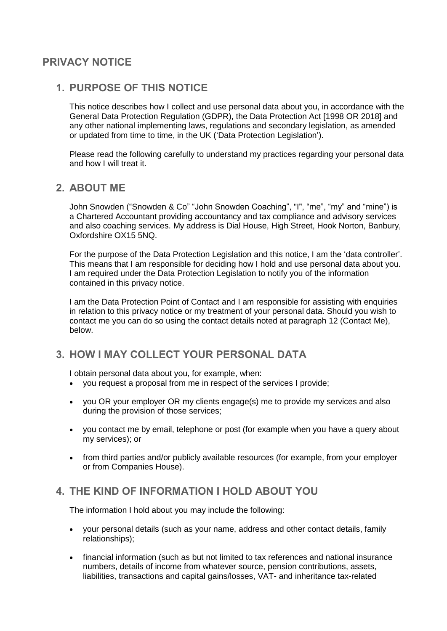# **PRIVACY NOTICE**

## **1. PURPOSE OF THIS NOTICE**

This notice describes how I collect and use personal data about you, in accordance with the General Data Protection Regulation (GDPR), the Data Protection Act [1998 OR 2018] and any other national implementing laws, regulations and secondary legislation, as amended or updated from time to time, in the UK ('Data Protection Legislation').

Please read the following carefully to understand my practices regarding your personal data and how I will treat it.

### **2. ABOUT ME**

John Snowden ("Snowden & Co" "John Snowden Coaching", "I", "me", "my" and "mine") is a Chartered Accountant providing accountancy and tax compliance and advisory services and also coaching services. My address is Dial House, High Street, Hook Norton, Banbury, Oxfordshire OX15 5NQ.

For the purpose of the Data Protection Legislation and this notice, I am the 'data controller'. This means that I am responsible for deciding how I hold and use personal data about you. I am required under the Data Protection Legislation to notify you of the information contained in this privacy notice.

I am the Data Protection Point of Contact and I am responsible for assisting with enquiries in relation to this privacy notice or my treatment of your personal data. Should you wish to contact me you can do so using the contact details noted at paragraph 12 (Contact Me), below.

# **3. HOW I MAY COLLECT YOUR PERSONAL DATA**

I obtain personal data about you, for example, when:

- you request a proposal from me in respect of the services I provide;
- you OR your employer OR my clients engage(s) me to provide my services and also during the provision of those services;
- you contact me by email, telephone or post (for example when you have a query about my services); or
- from third parties and/or publicly available resources (for example, from your employer or from Companies House).

## **4. THE KIND OF INFORMATION I HOLD ABOUT YOU**

The information I hold about you may include the following:

- your personal details (such as your name, address and other contact details, family relationships);
- financial information (such as but not limited to tax references and national insurance numbers, details of income from whatever source, pension contributions, assets, liabilities, transactions and capital gains/losses, VAT- and inheritance tax-related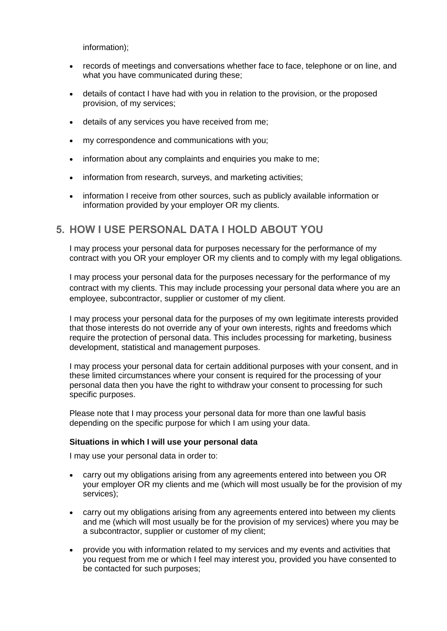information);

- records of meetings and conversations whether face to face, telephone or on line, and what you have communicated during these;
- details of contact I have had with you in relation to the provision, or the proposed provision, of my services;
- details of any services you have received from me;
- my correspondence and communications with you;
- information about any complaints and enquiries you make to me;
- information from research, surveys, and marketing activities;
- information I receive from other sources, such as publicly available information or information provided by your employer OR my clients.

## **5. HOW I USE PERSONAL DATA I HOLD ABOUT YOU**

I may process your personal data for purposes necessary for the performance of my contract with you OR your employer OR my clients and to comply with my legal obligations.

I may process your personal data for the purposes necessary for the performance of my contract with my clients. This may include processing your personal data where you are an employee, subcontractor, supplier or customer of my client.

I may process your personal data for the purposes of my own legitimate interests provided that those interests do not override any of your own interests, rights and freedoms which require the protection of personal data. This includes processing for marketing, business development, statistical and management purposes.

I may process your personal data for certain additional purposes with your consent, and in these limited circumstances where your consent is required for the processing of your personal data then you have the right to withdraw your consent to processing for such specific purposes.

Please note that I may process your personal data for more than one lawful basis depending on the specific purpose for which I am using your data.

#### **Situations in which I will use your personal data**

I may use your personal data in order to:

- carry out my obligations arising from any agreements entered into between you OR your employer OR my clients and me (which will most usually be for the provision of my services);
- carry out my obligations arising from any agreements entered into between my clients and me (which will most usually be for the provision of my services) where you may be a subcontractor, supplier or customer of my client;
- provide you with information related to my services and my events and activities that you request from me or which I feel may interest you, provided you have consented to be contacted for such purposes;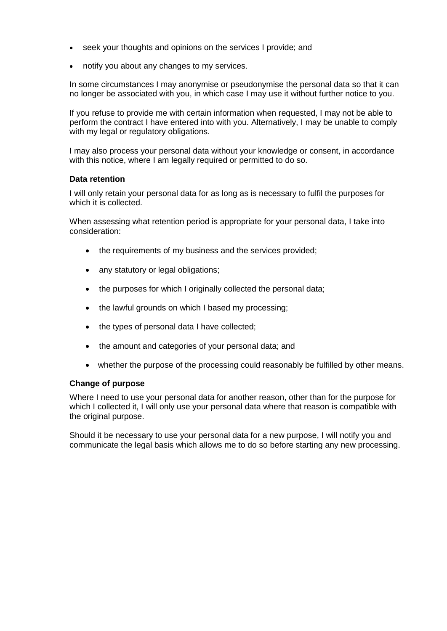- seek your thoughts and opinions on the services I provide; and
- notify you about any changes to my services.

In some circumstances I may anonymise or pseudonymise the personal data so that it can no longer be associated with you, in which case I may use it without further notice to you.

If you refuse to provide me with certain information when requested, I may not be able to perform the contract I have entered into with you. Alternatively, I may be unable to comply with my legal or regulatory obligations.

I may also process your personal data without your knowledge or consent, in accordance with this notice, where I am legally required or permitted to do so.

### **Data retention**

I will only retain your personal data for as long as is necessary to fulfil the purposes for which it is collected.

When assessing what retention period is appropriate for your personal data, I take into consideration:

- the requirements of my business and the services provided;
- any statutory or legal obligations;
- the purposes for which I originally collected the personal data;
- the lawful grounds on which I based my processing;
- the types of personal data I have collected;
- the amount and categories of your personal data; and
- whether the purpose of the processing could reasonably be fulfilled by other means.

#### **Change of purpose**

Where I need to use your personal data for another reason, other than for the purpose for which I collected it, I will only use your personal data where that reason is compatible with the original purpose.

Should it be necessary to use your personal data for a new purpose, I will notify you and communicate the legal basis which allows me to do so before starting any new processing.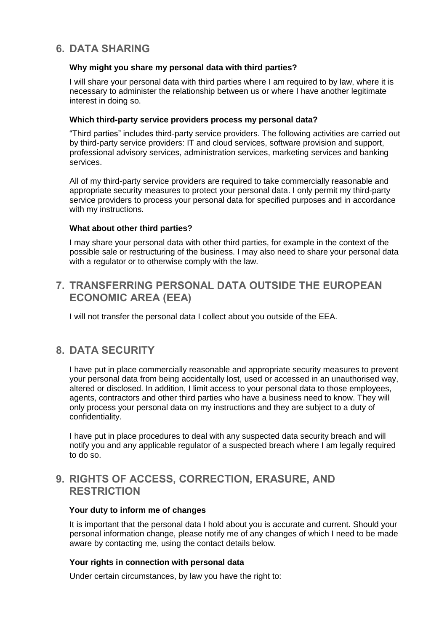# **6. DATA SHARING**

### **Why might you share my personal data with third parties?**

I will share your personal data with third parties where I am required to by law, where it is necessary to administer the relationship between us or where I have another legitimate interest in doing so.

### **Which third-party service providers process my personal data?**

"Third parties" includes third-party service providers. The following activities are carried out by third-party service providers: IT and cloud services, software provision and support, professional advisory services, administration services, marketing services and banking services.

All of my third-party service providers are required to take commercially reasonable and appropriate security measures to protect your personal data. I only permit my third-party service providers to process your personal data for specified purposes and in accordance with my instructions.

### **What about other third parties?**

I may share your personal data with other third parties, for example in the context of the possible sale or restructuring of the business. I may also need to share your personal data with a regulator or to otherwise comply with the law.

# **7. TRANSFERRING PERSONAL DATA OUTSIDE THE EUROPEAN ECONOMIC AREA (EEA)**

I will not transfer the personal data I collect about you outside of the EEA.

## **8. DATA SECURITY**

I have put in place commercially reasonable and appropriate security measures to prevent your personal data from being accidentally lost, used or accessed in an unauthorised way, altered or disclosed. In addition, I limit access to your personal data to those employees, agents, contractors and other third parties who have a business need to know. They will only process your personal data on my instructions and they are subject to a duty of confidentiality.

I have put in place procedures to deal with any suspected data security breach and will notify you and any applicable regulator of a suspected breach where I am legally required to do so.

## **9. RIGHTS OF ACCESS, CORRECTION, ERASURE, AND RESTRICTION**

#### **Your duty to inform me of changes**

It is important that the personal data I hold about you is accurate and current. Should your personal information change, please notify me of any changes of which I need to be made aware by contacting me, using the contact details below.

#### **Your rights in connection with personal data**

Under certain circumstances, by law you have the right to: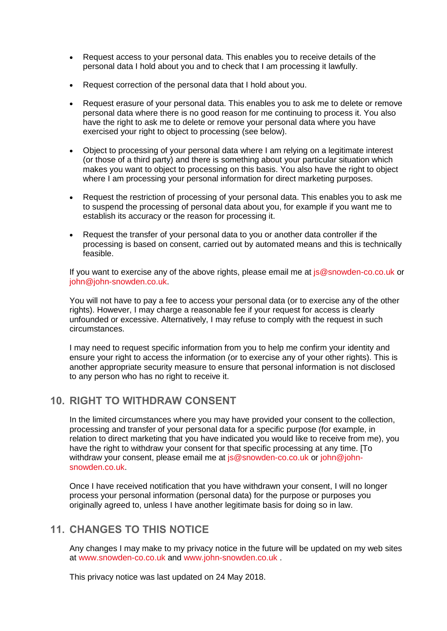- Request access to your personal data. This enables you to receive details of the personal data I hold about you and to check that I am processing it lawfully.
- Request correction of the personal data that I hold about you.
- Request erasure of your personal data. This enables you to ask me to delete or remove personal data where there is no good reason for me continuing to process it. You also have the right to ask me to delete or remove your personal data where you have exercised your right to object to processing (see below).
- Object to processing of your personal data where I am relying on a legitimate interest (or those of a third party) and there is something about your particular situation which makes you want to object to processing on this basis. You also have the right to object where I am processing your personal information for direct marketing purposes.
- Request the restriction of processing of your personal data. This enables you to ask me to suspend the processing of personal data about you, for example if you want me to establish its accuracy or the reason for processing it.
- Request the transfer of your personal data to you or another data controller if the processing is based on consent, carried out by automated means and this is technically feasible.

If you want to exercise any of the above rights, please email me at [js@snowden-co.co.uk](mailto:js@snowden-co.co.uk) or [john@john-snowden.co.uk.](mailto:john@john-snowden.co.uk)

You will not have to pay a fee to access your personal data (or to exercise any of the other rights). However, I may charge a reasonable fee if your request for access is clearly unfounded or excessive. Alternatively, I may refuse to comply with the request in such circumstances.

I may need to request specific information from you to help me confirm your identity and ensure your right to access the information (or to exercise any of your other rights). This is another appropriate security measure to ensure that personal information is not disclosed to any person who has no right to receive it.

# **10. RIGHT TO WITHDRAW CONSENT**

In the limited circumstances where you may have provided your consent to the collection, processing and transfer of your personal data for a specific purpose (for example, in relation to direct marketing that you have indicated you would like to receive from me), you have the right to withdraw your consent for that specific processing at any time. [To withdraw your consent, please email me at [js@snowden-co.co.uk](mailto:js@snowden-co.co.uk) or [john@john](mailto:john@john-snowden.co.uk)[snowden.co.uk.](mailto:john@john-snowden.co.uk)

Once I have received notification that you have withdrawn your consent, I will no longer process your personal information (personal data) for the purpose or purposes you originally agreed to, unless I have another legitimate basis for doing so in law.

## **11. CHANGES TO THIS NOTICE**

Any changes I may make to my privacy notice in the future will be updated on my web sites at [www.snowden-co.co.uk](http://www.snowden-co.co.uk/) and [www.john-snowden.co.uk](http://www.john-snowden.co.uk/) .

This privacy notice was last updated on 24 May 2018.